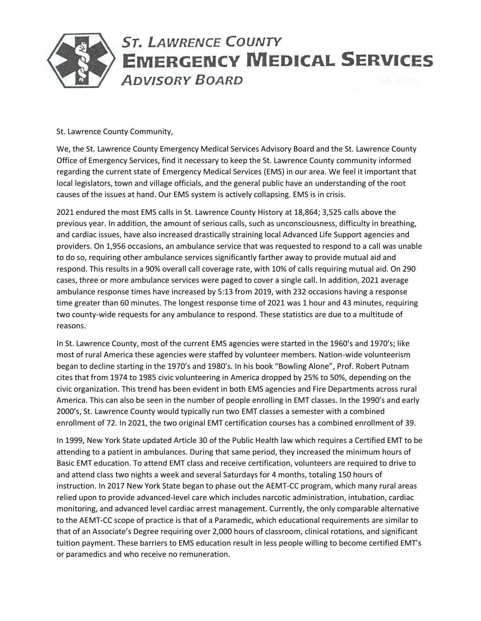

St. Lawrence County Community,

We, the St. Lawrence County Emergency Medical Services Advisory Board and the St. Lawrence County Office of Emergency Services, find it necessary to keep the St. Lawrence County community informed regarding the current state of Emergency Medical Services (EMS) in our area. We feel it important that local legislators, town and village officials, and the general public have an understanding of the root causes of the issues at hand. Our EMS system is actively collapsing. EMS is in crisis.

2021 endured the most EMS calls in St. Lawrence County History at 18,864; 3,525 calls above the previous year. In addition, the amount of serious calls, such as unconsciousness, difficulty in breathing, and cardiac issues, have also increased drastically straining local Advanced Life Support agencies and providers. On 1,956 occasions, an ambulance service that was requested to respond to a call was unable to do so, requiring other ambulance services significantly farther away to provide mutual aid and respond. This results in a 90% overall call coverage rate, with 10% of calls requiring mutual aid. On 290 cases, three or more ambulance services were paged to cover a single call. In addition, 2021 average ambulance response times have increased by 5:13 from 2019, with 232 occasions having a response time greater than 60 minutes. The longest response time of 2021 was 1 hour and 43 minutes, requiring two county-wide requests for any ambulance to respond. These statistics are due to a multitude of reasons.

In St. Lawrence County, most of the current EMS agencies were started in the 1960's and 1970's; like most of rural America these agencies were staffed by volunteer members. Nation-wide volunteerism began to decline starting in the 1970's and 1980's. In his book "Bowling Alone", Prof. Robert Putnam cites that from 1974 to 1985 civic volunteering in America dropped by 25% to 50%, depending on the civic organization. This trend has been evident in both EMS agencies and Fire Departments across rural America. This can also be seen in the number of people enrolling in EMT classes. In the 1990's and early 2000's, St. Lawrence County would typically run two EMT classes a semester with a combined enrollment of 72. In 2021, the two original EMT certification courses has a combined enrollment of 39.

In 1999, New York State updated Article 30 of the Public Health law which requires a Certified EMT to be attending to a patient in ambulances. During that same period, they increased the minimum hours of Basic EMT education. To attend EMT class and receive certification, volunteers are required to drive to and attend class two nights a week and several Saturdays for 4 months, totaling 150 hours of instruction. In 2017 New York State began to phase out the AEMT-CC program, which many rural areas relied upon to provide advanced-level care which includes narcotic administration, intubation, cardiac monitoring, and advanced level cardiac arrest management. Currently, the only comparable alternative to the AEMT-CC scope of practice is that of a Paramedic, which educational requirements are similar to that of an Associate's Degree requiring over 2,000 hours of classroom, clinical rotations, and significant tuition payment. These barriers to EMS education result in less people willing to become certified EMT's or paramedics and who receive no remuneration.